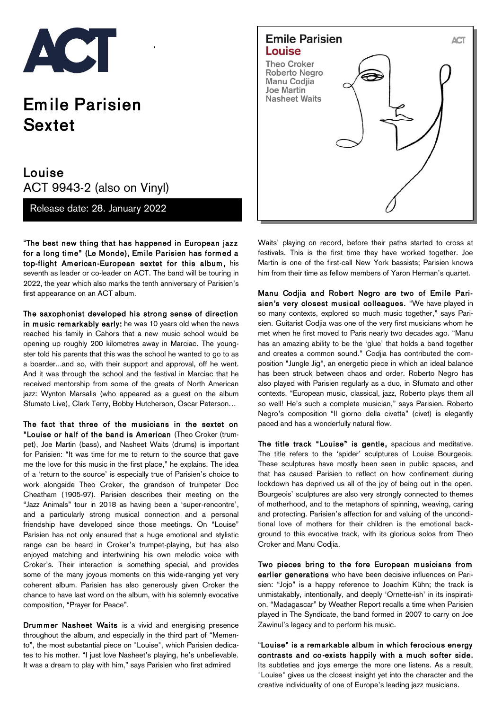

## Em ile Parisien Sextet

## Louise ACT 9943-2 (also on Vinyl)

Release date: 28. January 2022

"The best new thing that has happened in European jazz for a long time" (Le Monde), Emile Parisien has formed a top-flight American-European sextet for this album, his seventh as leader or co-leader on ACT. The band will be touring in 2022, the year which also marks the tenth anniversary of Parisien's first appearance on an ACT album.

The saxophonist developed his strong sense of direction in music remarkably early: he was 10 years old when the news reached his family in Cahors that a new music school would be opening up roughly 200 kilometres away in Marciac. The youngster told his parents that this was the school he wanted to go to as a boarder...and so, with their support and approval, off he went. And it was through the school and the festival in Marciac that he received mentorship from some of the greats of North American jazz: Wynton Marsalis (who appeared as a guest on the album Sfumato Live), Clark Terry, Bobby Hutcherson, Oscar Peterson…

The fact that three of the musicians in the sextet on "Louise or half of the band is American (Theo Croker (trumpet), Joe Martin (bass), and Nasheet Waits (drums) is important for Parisien: "It was time for me to return to the source that gave me the love for this music in the first place," he explains. The idea of a 'return to the source' is especially true of Parisien's choice to work alongside Theo Croker, the grandson of trumpeter Doc Cheatham (1905-97). Parisien describes their meeting on the "Jazz Animals" tour in 2018 as having been a 'super-rencontre', and a particularly strong musical connection and a personal friendship have developed since those meetings. On "Louise" Parisien has not only ensured that a huge emotional and stylistic range can be heard in Croker's trumpet-playing, but has also enjoyed matching and intertwining his own melodic voice with Croker's. Their interaction is something special, and provides some of the many joyous moments on this wide-ranging yet very coherent album. Parisien has also generously given Croker the chance to have last word on the album, with his solemnly evocative composition, "Prayer for Peace".

Drummer Nasheet Waits is a vivid and energising presence throughout the album, and especially in the third part of "Memento", the most substantial piece on "Louise", which Parisien dedicates to his mother. "I just love Nasheet's playing, he's unbelievable. It was a dream to play with him," says Parisien who first admired



Waits' playing on record, before their paths started to cross at festivals. This is the first time they have worked together. Joe Martin is one of the first-call New York bassists; Parisien knows him from their time as fellow members of Yaron Herman's quartet.

Manu Codjia and Robert Negro are two of Emile Parisien's very closest musical colleagues. "We have played in so many contexts, explored so much music together," says Parisien. Guitarist Codjia was one of the very first musicians whom he met when he first moved to Paris nearly two decades ago. "Manu has an amazing ability to be the 'glue' that holds a band together and creates a common sound." Codjia has contributed the composition "Jungle Jig", an energetic piece in which an ideal balance has been struck between chaos and order. Roberto Negro has also played with Parisien regularly as a duo, in Sfumato and other contexts. "European music, classical, jazz, Roberto plays them all so well! He's such a complete musician," says Parisien. Roberto Negro's composition "Il giorno della civetta" (civet) is elegantly paced and has a wonderfully natural flow.

The title track "Louise" is gentle, spacious and meditative. The title refers to the 'spider' sculptures of Louise Bourgeois. These sculptures have mostly been seen in public spaces, and that has caused Parisien to reflect on how confinement during lockdown has deprived us all of the joy of being out in the open. Bourgeois' sculptures are also very strongly connected to themes of motherhood, and to the metaphors of spinning, weaving, caring and protecting. Parisien's affection for and valuing of the unconditional love of mothers for their children is the emotional background to this evocative track, with its glorious solos from Theo Croker and Manu Codjia.

Two pieces bring to the fore European musicians from earlier generations who have been decisive influences on Parisien: "Jojo" is a happy reference to Joachim Kühn; the track is unmistakably, intentionally, and deeply 'Ornette-ish' in its inspiration. "Madagascar" by Weather Report recalls a time when Parisien played in The Syndicate, the band formed in 2007 to carry on Joe Zawinul's legacy and to perform his music.

"Louise" is a rem arkable album in which ferocious energy contrasts and co-exists happily with a much softer side. Its subtleties and joys emerge the more one listens. As a result, "Louise" gives us the closest insight yet into the character and the creative individuality of one of Europe's leading jazz musicians.